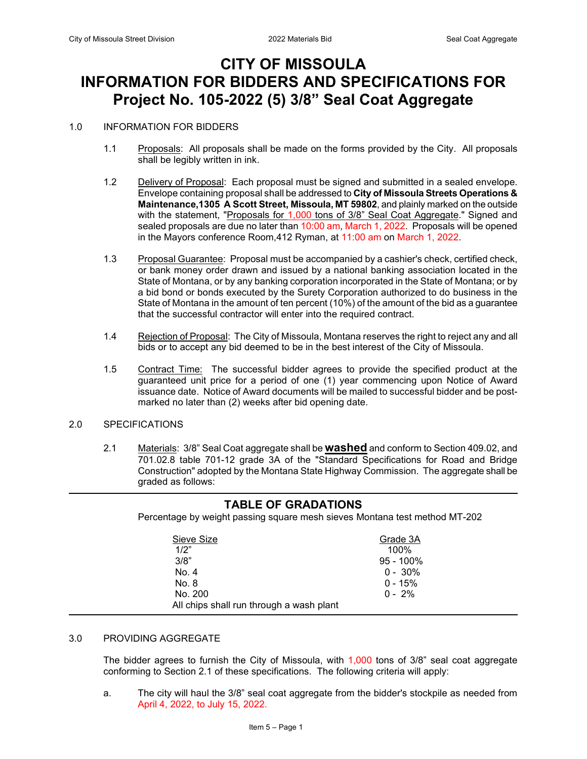## **CITY OF MISSOULA INFORMATION FOR BIDDERS AND SPECIFICATIONS FOR Project No. 105-2022 (5) 3/8" Seal Coat Aggregate**

#### 1.0 INFORMATION FOR BIDDERS

- 1.1 Proposals: All proposals shall be made on the forms provided by the City. All proposals shall be legibly written in ink.
- 1.2 Delivery of Proposal: Each proposal must be signed and submitted in a sealed envelope. Envelope containing proposal shall be addressed to **City of Missoula Streets Operations & Maintenance,1305 A Scott Street, Missoula, MT 59802**, and plainly marked on the outside with the statement, "Proposals for 1,000 tons of 3/8" Seal Coat Aggregate." Signed and sealed proposals are due no later than 10:00 am, March 1, 2022. Proposals will be opened in the Mayors conference Room,412 Ryman, at 11:00 am on March 1, 2022.
- 1.3 Proposal Guarantee: Proposal must be accompanied by a cashier's check, certified check, or bank money order drawn and issued by a national banking association located in the State of Montana, or by any banking corporation incorporated in the State of Montana; or by a bid bond or bonds executed by the Surety Corporation authorized to do business in the State of Montana in the amount of ten percent (10%) of the amount of the bid as a guarantee that the successful contractor will enter into the required contract.
- 1.4 Rejection of Proposal: The City of Missoula, Montana reserves the right to reject any and all bids or to accept any bid deemed to be in the best interest of the City of Missoula.
- 1.5 Contract Time: The successful bidder agrees to provide the specified product at the guaranteed unit price for a period of one (1) year commencing upon Notice of Award issuance date. Notice of Award documents will be mailed to successful bidder and be postmarked no later than (2) weeks after bid opening date.
- 2.0 SPECIFICATIONS
	- 2.1 Materials: 3/8" Seal Coat aggregate shall be **washed** and conform to Section 409.02, and 701.02.8 table 701-12 grade 3A of the "Standard Specifications for Road and Bridge Construction" adopted by the Montana State Highway Commission. The aggregate shall be graded as follows:

### **TABLE OF GRADATIONS** Percentage by weight passing square mesh sieves Montana test method MT-202 Sieve Size Grade 3A 1/2" 100% 3/8" 95 - 100%  $N_o$ . 4 0 - 30% No. 8 0 - 15%<br>No. 200 0 - 2% No. 200 All chips shall run through a wash plant

# 3.0 PROVIDING AGGREGATE

The bidder agrees to furnish the City of Missoula, with 1,000 tons of 3/8" seal coat aggregate conforming to Section 2.1 of these specifications. The following criteria will apply:

a. The city will haul the 3/8" seal coat aggregate from the bidder's stockpile as needed from April 4, 2022, to July 15, 2022.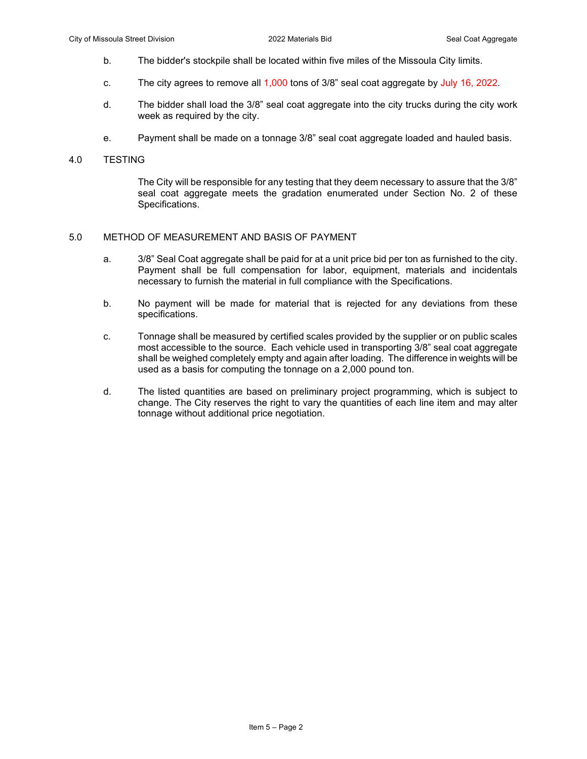- b. The bidder's stockpile shall be located within five miles of the Missoula City limits.
- c. The city agrees to remove all 1,000 tons of 3/8" seal coat aggregate by July 16, 2022.
- d. The bidder shall load the 3/8" seal coat aggregate into the city trucks during the city work week as required by the city.
- e. Payment shall be made on a tonnage 3/8" seal coat aggregate loaded and hauled basis.

#### 4.0 TESTING

The City will be responsible for any testing that they deem necessary to assure that the 3/8" seal coat aggregate meets the gradation enumerated under Section No. 2 of these Specifications.

#### 5.0 METHOD OF MEASUREMENT AND BASIS OF PAYMENT

- a. 3/8" Seal Coat aggregate shall be paid for at a unit price bid per ton as furnished to the city. Payment shall be full compensation for labor, equipment, materials and incidentals necessary to furnish the material in full compliance with the Specifications.
- b. No payment will be made for material that is rejected for any deviations from these specifications.
- c. Tonnage shall be measured by certified scales provided by the supplier or on public scales most accessible to the source. Each vehicle used in transporting 3/8" seal coat aggregate shall be weighed completely empty and again after loading. The difference in weights will be used as a basis for computing the tonnage on a 2,000 pound ton.
- d. The listed quantities are based on preliminary project programming, which is subject to change. The City reserves the right to vary the quantities of each line item and may alter tonnage without additional price negotiation.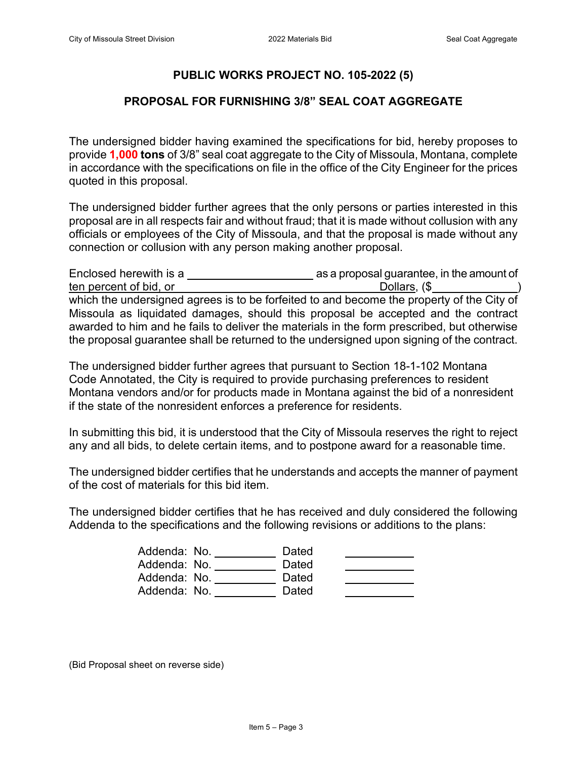## **PUBLIC WORKS PROJECT NO. 105-2022 (5)**

## **PROPOSAL FOR FURNISHING 3/8" SEAL COAT AGGREGATE**

The undersigned bidder having examined the specifications for bid, hereby proposes to provide **1,000 tons** of 3/8" seal coat aggregate to the City of Missoula, Montana, complete in accordance with the specifications on file in the office of the City Engineer for the prices quoted in this proposal.

The undersigned bidder further agrees that the only persons or parties interested in this proposal are in all respects fair and without fraud; that it is made without collusion with any officials or employees of the City of Missoula, and that the proposal is made without any connection or collusion with any person making another proposal.

| Enclosed herewith is a                                                                     | as a proposal guarantee, in the amount of |
|--------------------------------------------------------------------------------------------|-------------------------------------------|
| ten percent of bid, or                                                                     | Dollars, (\$                              |
| which the undersigned agrees is to be forfeited to and become the property of the City of  |                                           |
| Missoula as liquidated damages, should this proposal be accepted and the contract          |                                           |
| awarded to him and he fails to deliver the materials in the form prescribed, but otherwise |                                           |
| the proposal guarantee shall be returned to the undersigned upon signing of the contract.  |                                           |

The undersigned bidder further agrees that pursuant to Section 18-1-102 Montana Code Annotated, the City is required to provide purchasing preferences to resident Montana vendors and/or for products made in Montana against the bid of a nonresident if the state of the nonresident enforces a preference for residents.

In submitting this bid, it is understood that the City of Missoula reserves the right to reject any and all bids, to delete certain items, and to postpone award for a reasonable time.

The undersigned bidder certifies that he understands and accepts the manner of payment of the cost of materials for this bid item.

The undersigned bidder certifies that he has received and duly considered the following Addenda to the specifications and the following revisions or additions to the plans:

| Addenda: No. | Dated |  |
|--------------|-------|--|
| Addenda: No. | Dated |  |
| Addenda: No. | Dated |  |
| Addenda: No. | Dated |  |

(Bid Proposal sheet on reverse side)